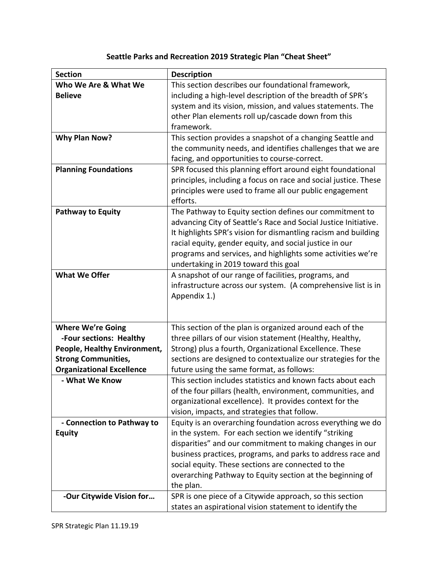## **Seattle Parks and Recreation 2019 Strategic Plan "Cheat Sheet"**

| <b>Section</b>                   |                                                                 |
|----------------------------------|-----------------------------------------------------------------|
|                                  | <b>Description</b>                                              |
| Who We Are & What We             | This section describes our foundational framework,              |
| <b>Believe</b>                   | including a high-level description of the breadth of SPR's      |
|                                  | system and its vision, mission, and values statements. The      |
|                                  | other Plan elements roll up/cascade down from this              |
|                                  | framework.                                                      |
| <b>Why Plan Now?</b>             | This section provides a snapshot of a changing Seattle and      |
|                                  | the community needs, and identifies challenges that we are      |
|                                  | facing, and opportunities to course-correct.                    |
| <b>Planning Foundations</b>      | SPR focused this planning effort around eight foundational      |
|                                  | principles, including a focus on race and social justice. These |
|                                  | principles were used to frame all our public engagement         |
|                                  | efforts.                                                        |
| <b>Pathway to Equity</b>         | The Pathway to Equity section defines our commitment to         |
|                                  | advancing City of Seattle's Race and Social Justice Initiative. |
|                                  | It highlights SPR's vision for dismantling racism and building  |
|                                  | racial equity, gender equity, and social justice in our         |
|                                  | programs and services, and highlights some activities we're     |
|                                  | undertaking in 2019 toward this goal                            |
| <b>What We Offer</b>             | A snapshot of our range of facilities, programs, and            |
|                                  | infrastructure across our system. (A comprehensive list is in   |
|                                  | Appendix 1.)                                                    |
|                                  |                                                                 |
|                                  |                                                                 |
| <b>Where We're Going</b>         | This section of the plan is organized around each of the        |
| -Four sections: Healthy          | three pillars of our vision statement (Healthy, Healthy,        |
| People, Healthy Environment,     | Strong) plus a fourth, Organizational Excellence. These         |
| <b>Strong Communities,</b>       | sections are designed to contextualize our strategies for the   |
| <b>Organizational Excellence</b> | future using the same format, as follows:                       |
| - What We Know                   | This section includes statistics and known facts about each     |
|                                  | of the four pillars (health, environment, communities, and      |
|                                  | organizational excellence). It provides context for the         |
|                                  |                                                                 |
|                                  | vision, impacts, and strategies that follow.                    |
| - Connection to Pathway to       | Equity is an overarching foundation across everything we do     |
| <b>Equity</b>                    | in the system. For each section we identify "striking           |
|                                  | disparities" and our commitment to making changes in our        |
|                                  | business practices, programs, and parks to address race and     |
|                                  | social equity. These sections are connected to the              |
|                                  | overarching Pathway to Equity section at the beginning of       |
|                                  | the plan.                                                       |
| -Our Citywide Vision for         | SPR is one piece of a Citywide approach, so this section        |
|                                  | states an aspirational vision statement to identify the         |